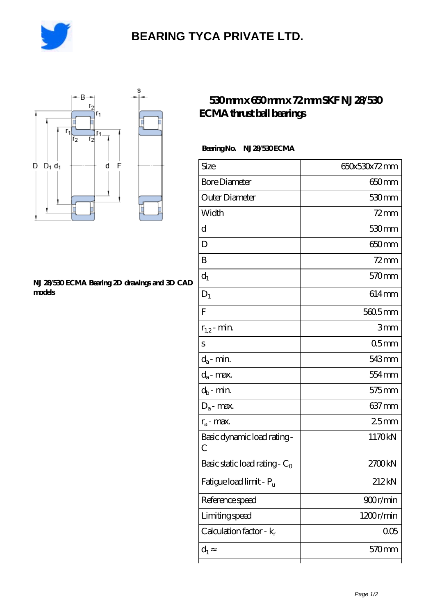

# **[BEARING TYCA PRIVATE LTD.](https://ef-u.cn)**



#### **[NJ 28/530 ECMA Bearing 2D drawings and 3D CAD](https://ef-u.cn/pic-155683.html) [models](https://ef-u.cn/pic-155683.html)**

### **[530 mm x 650 mm x 72 mm SKF NJ 28/530](https://ef-u.cn/ar-155683-skf-nj-28-530-ecma-thrust-ball-bearings.html) [ECMA thrust ball bearings](https://ef-u.cn/ar-155683-skf-nj-28-530-ecma-thrust-ball-bearings.html)**

### **Bearing No. NJ 28/530 ECMA**

| Size                                | 650x530x72mm      |
|-------------------------------------|-------------------|
| <b>Bore Diameter</b>                | 650 <sub>mm</sub> |
| Outer Diameter                      | 530mm             |
| Width                               | $72$ mm           |
| d                                   | 530 <sub>mm</sub> |
| D                                   | 650 <sub>mm</sub> |
| B                                   | $72$ mm           |
| $d_1$                               | 570 <sub>mm</sub> |
| $D_1$                               | $614 \text{mm}$   |
| F                                   | 560.5mm           |
| $r_{1,2}$ - min.                    | 3mm               |
| S                                   | 05 <sub>mm</sub>  |
| $d_a$ - min.                        | 543mm             |
| $d_a$ - max.                        | 554 mm            |
| $d_b$ - min.                        | $575$ mm          |
| $D_a$ - max.                        | $637 \text{mm}$   |
| $r_a$ - max.                        | 25mm              |
| Basic dynamic load rating-<br>С     | 1170kN            |
| Basic static load rating - $C_0$    | 2700kN            |
| Fatigue load limit - P <sub>u</sub> | 212kN             |
| Reference speed                     | 900r/min          |
| Limiting speed                      | 1200r/min         |
| Calculation factor - $k_r$          | 005               |
| $d_1$                               | 570mm             |
|                                     |                   |